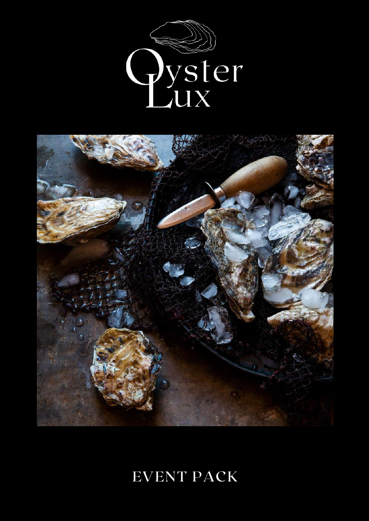



# EVENT PACK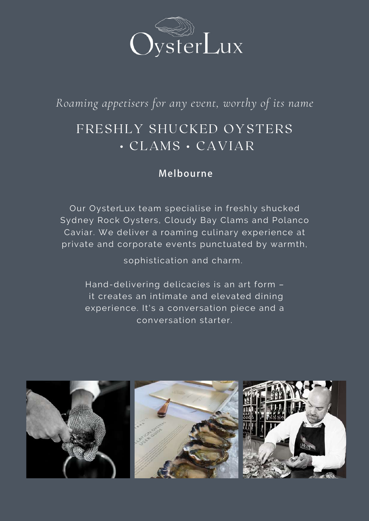

*Roaming appetisers for any event, worthy of its name*

# FRESHLY SHUCKED OYSTERS • CLAMS • CAVIAR

## **Melbourne**

Our OysterLux team specialise in freshly shucked Sydney Rock Oysters, Cloudy Bay Clams and Polanco Caviar. We deliver a roaming culinary experience at private and corporate events punctuated by warmth,

sophistication and charm.

 it creates an intimate and elevated dining experience. It's a conversation piece and a conversation starter. Hand-delivering delicacies is an art form –

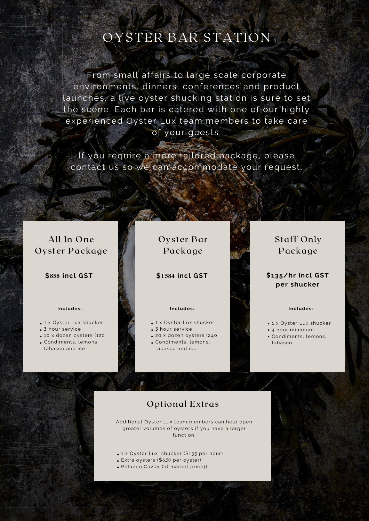# OYSTER BAR STATION

From small affairs to large scale corporate environments, dinners, conferences and product launches, a live oyster shucking station is sure to set the scene. Each bar is catered with one of our highly experienced Oyster Lux team members to take care of your guests.

If you require a more tailored package, please contact us so we can accommodate your request.

## All In One Oyster Package

**\$858 incl GST**

### **Includes:**

- 1 x Oyster Lux shucker
- **3** hour service
- 10 x dozen oysters (120
- Condiments, lemons,
- tabasco and ice

## Oyster Bar Package

### **\$1584 incl GST**

#### **Includes:**

- 1 x Oyster Lux shucker
- **3** hour service
- 20 x dozen oysters (240
- Condiments, lemons, tabasco and ice

## Staff Only Package

### **\$135/hr incl GST per shucker**

#### **Includes:**

- 1 x Oyster Lux shucker
- 4 hour minimum
- Condiments, lemons, tabasco

## Optional Extras

Additional Oyster Lux team members can help open greater volumes of oysters if you have a larger function.

- 1 x Oyster Lux shucker (\$135 per hour)
- Extra oysters (\$6.50 per oyster)
- Polanco Caviar (at market price))